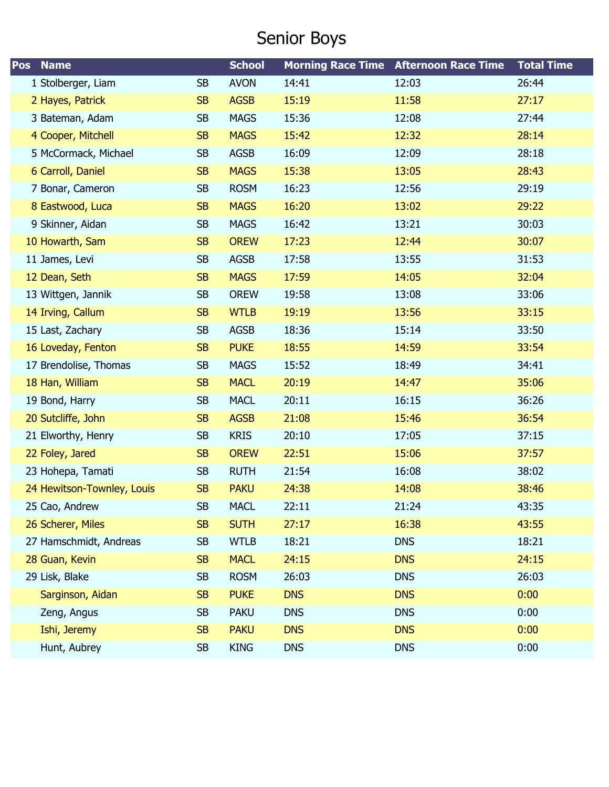# Senior Boys

| Pos<br><b>Name</b>         |           | <b>School</b> |            | <b>Morning Race Time Afternoon Race Time</b> | <b>Total Time</b> |
|----------------------------|-----------|---------------|------------|----------------------------------------------|-------------------|
| 1 Stolberger, Liam         | <b>SB</b> | <b>AVON</b>   | 14:41      | 12:03                                        | 26:44             |
| 2 Hayes, Patrick           | <b>SB</b> | <b>AGSB</b>   | 15:19      | 11:58                                        | 27:17             |
| 3 Bateman, Adam            | <b>SB</b> | <b>MAGS</b>   | 15:36      | 12:08                                        | 27:44             |
| 4 Cooper, Mitchell         | <b>SB</b> | <b>MAGS</b>   | 15:42      | 12:32                                        | 28:14             |
| 5 McCormack, Michael       | <b>SB</b> | <b>AGSB</b>   | 16:09      | 12:09                                        | 28:18             |
| 6 Carroll, Daniel          | <b>SB</b> | <b>MAGS</b>   | 15:38      | 13:05                                        | 28:43             |
| 7 Bonar, Cameron           | <b>SB</b> | <b>ROSM</b>   | 16:23      | 12:56                                        | 29:19             |
| 8 Eastwood, Luca           | <b>SB</b> | <b>MAGS</b>   | 16:20      | 13:02                                        | 29:22             |
| 9 Skinner, Aidan           | <b>SB</b> | <b>MAGS</b>   | 16:42      | 13:21                                        | 30:03             |
| 10 Howarth, Sam            | <b>SB</b> | <b>OREW</b>   | 17:23      | 12:44                                        | 30:07             |
| 11 James, Levi             | <b>SB</b> | <b>AGSB</b>   | 17:58      | 13:55                                        | 31:53             |
| 12 Dean, Seth              | <b>SB</b> | <b>MAGS</b>   | 17:59      | 14:05                                        | 32:04             |
| 13 Wittgen, Jannik         | <b>SB</b> | <b>OREW</b>   | 19:58      | 13:08                                        | 33:06             |
| 14 Irving, Callum          | <b>SB</b> | <b>WTLB</b>   | 19:19      | 13:56                                        | 33:15             |
| 15 Last, Zachary           | <b>SB</b> | <b>AGSB</b>   | 18:36      | 15:14                                        | 33:50             |
| 16 Loveday, Fenton         | <b>SB</b> | <b>PUKE</b>   | 18:55      | 14:59                                        | 33:54             |
| 17 Brendolise, Thomas      | <b>SB</b> | <b>MAGS</b>   | 15:52      | 18:49                                        | 34:41             |
| 18 Han, William            | <b>SB</b> | <b>MACL</b>   | 20:19      | 14:47                                        | 35:06             |
| 19 Bond, Harry             | <b>SB</b> | <b>MACL</b>   | 20:11      | 16:15                                        | 36:26             |
| 20 Sutcliffe, John         | <b>SB</b> | <b>AGSB</b>   | 21:08      | 15:46                                        | 36:54             |
| 21 Elworthy, Henry         | <b>SB</b> | <b>KRIS</b>   | 20:10      | 17:05                                        | 37:15             |
| 22 Foley, Jared            | <b>SB</b> | <b>OREW</b>   | 22:51      | 15:06                                        | 37:57             |
| 23 Hohepa, Tamati          | <b>SB</b> | <b>RUTH</b>   | 21:54      | 16:08                                        | 38:02             |
| 24 Hewitson-Townley, Louis | <b>SB</b> | <b>PAKU</b>   | 24:38      | 14:08                                        | 38:46             |
| 25 Cao, Andrew             | SB        | <b>MACL</b>   | 22:11      | 21:24                                        | 43:35             |
| 26 Scherer, Miles          | SB        | <b>SUTH</b>   | 27:17      | 16:38                                        | 43:55             |
| 27 Hamschmidt, Andreas     | <b>SB</b> | <b>WTLB</b>   | 18:21      | <b>DNS</b>                                   | 18:21             |
| 28 Guan, Kevin             | <b>SB</b> | <b>MACL</b>   | 24:15      | <b>DNS</b>                                   | 24:15             |
| 29 Lisk, Blake             | <b>SB</b> | <b>ROSM</b>   | 26:03      | <b>DNS</b>                                   | 26:03             |
| Sarginson, Aidan           | <b>SB</b> | <b>PUKE</b>   | <b>DNS</b> | <b>DNS</b>                                   | 0:00              |
| Zeng, Angus                | <b>SB</b> | <b>PAKU</b>   | <b>DNS</b> | <b>DNS</b>                                   | 0:00              |
| Ishi, Jeremy               | <b>SB</b> | <b>PAKU</b>   | <b>DNS</b> | <b>DNS</b>                                   | 0:00              |
| Hunt, Aubrey               | <b>SB</b> | <b>KING</b>   | <b>DNS</b> | <b>DNS</b>                                   | 0:00              |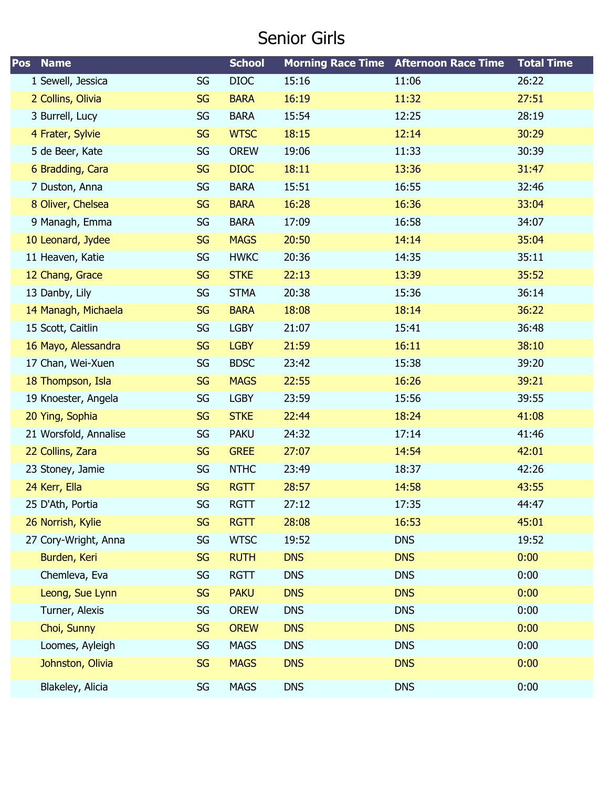#### Senior Girls

| <b>Name</b><br><b>Pos</b> |           | <b>School</b> |            | <b>Morning Race Time Afternoon Race Time</b> | <b>Total Time</b> |
|---------------------------|-----------|---------------|------------|----------------------------------------------|-------------------|
| 1 Sewell, Jessica         | SG        | <b>DIOC</b>   | 15:16      | 11:06                                        | 26:22             |
| 2 Collins, Olivia         | <b>SG</b> | <b>BARA</b>   | 16:19      | 11:32                                        | 27:51             |
| 3 Burrell, Lucy           | SG        | <b>BARA</b>   | 15:54      | 12:25                                        | 28:19             |
| 4 Frater, Sylvie          | <b>SG</b> | <b>WTSC</b>   | 18:15      | 12:14                                        | 30:29             |
| 5 de Beer, Kate           | SG        | <b>OREW</b>   | 19:06      | 11:33                                        | 30:39             |
| 6 Bradding, Cara          | <b>SG</b> | <b>DIOC</b>   | 18:11      | 13:36                                        | 31:47             |
| 7 Duston, Anna            | SG        | <b>BARA</b>   | 15:51      | 16:55                                        | 32:46             |
| 8 Oliver, Chelsea         | <b>SG</b> | <b>BARA</b>   | 16:28      | 16:36                                        | 33:04             |
| 9 Managh, Emma            | SG        | <b>BARA</b>   | 17:09      | 16:58                                        | 34:07             |
| 10 Leonard, Jydee         | <b>SG</b> | <b>MAGS</b>   | 20:50      | 14:14                                        | 35:04             |
| 11 Heaven, Katie          | SG        | <b>HWKC</b>   | 20:36      | 14:35                                        | 35:11             |
| 12 Chang, Grace           | <b>SG</b> | <b>STKE</b>   | 22:13      | 13:39                                        | 35:52             |
| 13 Danby, Lily            | SG        | <b>STMA</b>   | 20:38      | 15:36                                        | 36:14             |
| 14 Managh, Michaela       | <b>SG</b> | <b>BARA</b>   | 18:08      | 18:14                                        | 36:22             |
| 15 Scott, Caitlin         | SG        | <b>LGBY</b>   | 21:07      | 15:41                                        | 36:48             |
| 16 Mayo, Alessandra       | <b>SG</b> | <b>LGBY</b>   | 21:59      | 16:11                                        | 38:10             |
| 17 Chan, Wei-Xuen         | SG        | <b>BDSC</b>   | 23:42      | 15:38                                        | 39:20             |
| 18 Thompson, Isla         | <b>SG</b> | <b>MAGS</b>   | 22:55      | 16:26                                        | 39:21             |
| 19 Knoester, Angela       | SG        | <b>LGBY</b>   | 23:59      | 15:56                                        | 39:55             |
| 20 Ying, Sophia           | <b>SG</b> | <b>STKE</b>   | 22:44      | 18:24                                        | 41:08             |
| 21 Worsfold, Annalise     | SG        | <b>PAKU</b>   | 24:32      | 17:14                                        | 41:46             |
| 22 Collins, Zara          | <b>SG</b> | <b>GREE</b>   | 27:07      | 14:54                                        | 42:01             |
| 23 Stoney, Jamie          | SG        | <b>NTHC</b>   | 23:49      | 18:37                                        | 42:26             |
| 24 Kerr, Ella             | <b>SG</b> | <b>RGTT</b>   | 28:57      | 14:58                                        | 43:55             |
| 25 D'Ath, Portia          | SG        | <b>RGTT</b>   | 27:12      | 17:35                                        | 44:47             |
| 26 Norrish, Kylie         | <b>SG</b> | <b>RGTT</b>   | 28:08      | 16:53                                        | 45:01             |
| 27 Cory-Wright, Anna      | SG        | <b>WTSC</b>   | 19:52      | <b>DNS</b>                                   | 19:52             |
| Burden, Keri              | <b>SG</b> | <b>RUTH</b>   | <b>DNS</b> | <b>DNS</b>                                   | 0:00              |
| Chemleva, Eva             | SG        | <b>RGTT</b>   | <b>DNS</b> | <b>DNS</b>                                   | 0:00              |
| Leong, Sue Lynn           | <b>SG</b> | <b>PAKU</b>   | <b>DNS</b> | <b>DNS</b>                                   | 0:00              |
| Turner, Alexis            | SG        | <b>OREW</b>   | <b>DNS</b> | <b>DNS</b>                                   | 0:00              |
| Choi, Sunny               | <b>SG</b> | <b>OREW</b>   | <b>DNS</b> | <b>DNS</b>                                   | 0:00              |
| Loomes, Ayleigh           | SG        | <b>MAGS</b>   | <b>DNS</b> | <b>DNS</b>                                   | 0:00              |
| Johnston, Olivia          | <b>SG</b> | <b>MAGS</b>   | <b>DNS</b> | <b>DNS</b>                                   | 0:00              |
| Blakeley, Alicia          | SG        | <b>MAGS</b>   | <b>DNS</b> | <b>DNS</b>                                   | 0:00              |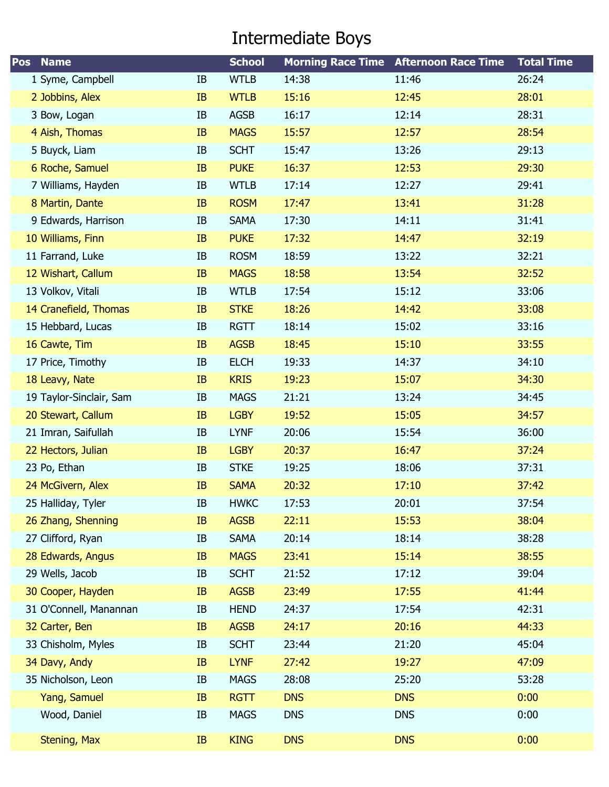# Intermediate Boys

| Pos<br><b>Name</b>      |    | <b>School</b> |            | <b>Morning Race Time Afternoon Race Time</b> | <b>Total Time</b> |
|-------------------------|----|---------------|------------|----------------------------------------------|-------------------|
| 1 Syme, Campbell        | IB | <b>WTLB</b>   | 14:38      | 11:46                                        | 26:24             |
| 2 Jobbins, Alex         | IB | <b>WTLB</b>   | 15:16      | 12:45                                        | 28:01             |
| 3 Bow, Logan            | IB | <b>AGSB</b>   | 16:17      | 12:14                                        | 28:31             |
| 4 Aish, Thomas          | IB | <b>MAGS</b>   | 15:57      | 12:57                                        | 28:54             |
| 5 Buyck, Liam           | IB | <b>SCHT</b>   | 15:47      | 13:26                                        | 29:13             |
| 6 Roche, Samuel         | IB | <b>PUKE</b>   | 16:37      | 12:53                                        | 29:30             |
| 7 Williams, Hayden      | IB | <b>WTLB</b>   | 17:14      | 12:27                                        | 29:41             |
| 8 Martin, Dante         | IB | <b>ROSM</b>   | 17:47      | 13:41                                        | 31:28             |
| 9 Edwards, Harrison     | IB | <b>SAMA</b>   | 17:30      | 14:11                                        | 31:41             |
| 10 Williams, Finn       | IB | <b>PUKE</b>   | 17:32      | 14:47                                        | 32:19             |
| 11 Farrand, Luke        | IB | <b>ROSM</b>   | 18:59      | 13:22                                        | 32:21             |
| 12 Wishart, Callum      | IB | <b>MAGS</b>   | 18:58      | 13:54                                        | 32:52             |
| 13 Volkov, Vitali       | IB | <b>WTLB</b>   | 17:54      | 15:12                                        | 33:06             |
| 14 Cranefield, Thomas   | IB | <b>STKE</b>   | 18:26      | 14:42                                        | 33:08             |
| 15 Hebbard, Lucas       | IB | <b>RGTT</b>   | 18:14      | 15:02                                        | 33:16             |
| 16 Cawte, Tim           | IB | <b>AGSB</b>   | 18:45      | 15:10                                        | 33:55             |
| 17 Price, Timothy       | IB | <b>ELCH</b>   | 19:33      | 14:37                                        | 34:10             |
| 18 Leavy, Nate          | IB | <b>KRIS</b>   | 19:23      | 15:07                                        | 34:30             |
| 19 Taylor-Sinclair, Sam | IB | <b>MAGS</b>   | 21:21      | 13:24                                        | 34:45             |
| 20 Stewart, Callum      | IB | <b>LGBY</b>   | 19:52      | 15:05                                        | 34:57             |
| 21 Imran, Saifullah     | IB | <b>LYNF</b>   | 20:06      | 15:54                                        | 36:00             |
| 22 Hectors, Julian      | IB | <b>LGBY</b>   | 20:37      | 16:47                                        | 37:24             |
| 23 Po, Ethan            | IB | <b>STKE</b>   | 19:25      | 18:06                                        | 37:31             |
| 24 McGivern, Alex       | IB | <b>SAMA</b>   | 20:32      | 17:10                                        | 37:42             |
| 25 Halliday, Tyler      | IB | <b>HWKC</b>   | 17:53      | 20:01                                        | 37:54             |
| 26 Zhang, Shenning      | IB | <b>AGSB</b>   | 22:11      | 15:53                                        | 38:04             |
| 27 Clifford, Ryan       | IB | <b>SAMA</b>   | 20:14      | 18:14                                        | 38:28             |
| 28 Edwards, Angus       | IB | <b>MAGS</b>   | 23:41      | 15:14                                        | 38:55             |
| 29 Wells, Jacob         | IB | <b>SCHT</b>   | 21:52      | 17:12                                        | 39:04             |
| 30 Cooper, Hayden       | IB | <b>AGSB</b>   | 23:49      | 17:55                                        | 41:44             |
| 31 O'Connell, Manannan  | IB | <b>HEND</b>   | 24:37      | 17:54                                        | 42:31             |
| 32 Carter, Ben          | IB | <b>AGSB</b>   | 24:17      | 20:16                                        | 44:33             |
| 33 Chisholm, Myles      | IB | <b>SCHT</b>   | 23:44      | 21:20                                        | 45:04             |
| 34 Davy, Andy           | IB | <b>LYNF</b>   | 27:42      | 19:27                                        | 47:09             |
| 35 Nicholson, Leon      | IB | <b>MAGS</b>   | 28:08      | 25:20                                        | 53:28             |
| Yang, Samuel            | IB | <b>RGTT</b>   | <b>DNS</b> | <b>DNS</b>                                   | 0:00              |
| Wood, Daniel            | IB | <b>MAGS</b>   | <b>DNS</b> | <b>DNS</b>                                   | 0:00              |
| Stening, Max            | IB | <b>KING</b>   | <b>DNS</b> | <b>DNS</b>                                   | 0:00              |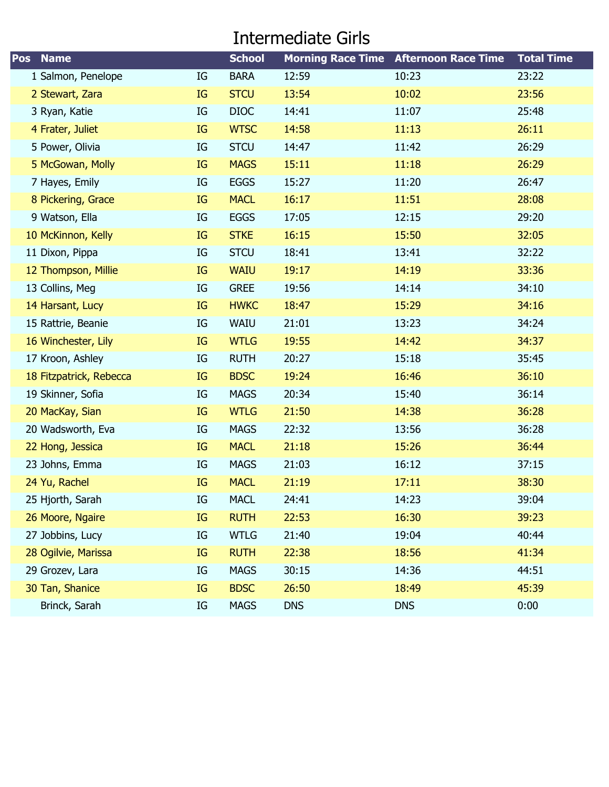#### Intermediate Girls

| <b>Name</b><br>Pos      |    | <b>School</b> |            | <b>Morning Race Time Afternoon Race Time</b> | <b>Total Time</b> |
|-------------------------|----|---------------|------------|----------------------------------------------|-------------------|
| 1 Salmon, Penelope      | IG | <b>BARA</b>   | 12:59      | 10:23                                        | 23:22             |
| 2 Stewart, Zara         | IG | <b>STCU</b>   | 13:54      | 10:02                                        | 23:56             |
| 3 Ryan, Katie           | IG | <b>DIOC</b>   | 14:41      | 11:07                                        | 25:48             |
| 4 Frater, Juliet        | IG | <b>WTSC</b>   | 14:58      | 11:13                                        | 26:11             |
| 5 Power, Olivia         | IG | <b>STCU</b>   | 14:47      | 11:42                                        | 26:29             |
| 5 McGowan, Molly        | IG | <b>MAGS</b>   | 15:11      | 11:18                                        | 26:29             |
| 7 Hayes, Emily          | IG | <b>EGGS</b>   | 15:27      | 11:20                                        | 26:47             |
| 8 Pickering, Grace      | IG | <b>MACL</b>   | 16:17      | 11:51                                        | 28:08             |
| 9 Watson, Ella          | IG | <b>EGGS</b>   | 17:05      | 12:15                                        | 29:20             |
| 10 McKinnon, Kelly      | IG | <b>STKE</b>   | 16:15      | 15:50                                        | 32:05             |
| 11 Dixon, Pippa         | IG | <b>STCU</b>   | 18:41      | 13:41                                        | 32:22             |
| 12 Thompson, Millie     | IG | <b>WAIU</b>   | 19:17      | 14:19                                        | 33:36             |
| 13 Collins, Meg         | IG | <b>GREE</b>   | 19:56      | 14:14                                        | 34:10             |
| 14 Harsant, Lucy        | IG | <b>HWKC</b>   | 18:47      | 15:29                                        | 34:16             |
| 15 Rattrie, Beanie      | IG | WAIU          | 21:01      | 13:23                                        | 34:24             |
| 16 Winchester, Lily     | IG | <b>WTLG</b>   | 19:55      | 14:42                                        | 34:37             |
| 17 Kroon, Ashley        | IG | <b>RUTH</b>   | 20:27      | 15:18                                        | 35:45             |
| 18 Fitzpatrick, Rebecca | IG | <b>BDSC</b>   | 19:24      | 16:46                                        | 36:10             |
| 19 Skinner, Sofia       | IG | <b>MAGS</b>   | 20:34      | 15:40                                        | 36:14             |
| 20 MacKay, Sian         | IG | <b>WTLG</b>   | 21:50      | 14:38                                        | 36:28             |
| 20 Wadsworth, Eva       | IG | <b>MAGS</b>   | 22:32      | 13:56                                        | 36:28             |
| 22 Hong, Jessica        | IG | <b>MACL</b>   | 21:18      | 15:26                                        | 36:44             |
| 23 Johns, Emma          | IG | <b>MAGS</b>   | 21:03      | 16:12                                        | 37:15             |
| 24 Yu, Rachel           | IG | <b>MACL</b>   | 21:19      | 17:11                                        | 38:30             |
| 25 Hjorth, Sarah        | IG | <b>MACL</b>   | 24:41      | 14:23                                        | 39:04             |
| 26 Moore, Ngaire        | IG | <b>RUTH</b>   | 22:53      | 16:30                                        | 39:23             |
| 27 Jobbins, Lucy        | IG | <b>WTLG</b>   | 21:40      | 19:04                                        | 40:44             |
| 28 Ogilvie, Marissa     | IG | <b>RUTH</b>   | 22:38      | 18:56                                        | 41:34             |
| 29 Grozev, Lara         | IG | <b>MAGS</b>   | 30:15      | 14:36                                        | 44:51             |
| 30 Tan, Shanice         | IG | <b>BDSC</b>   | 26:50      | 18:49                                        | 45:39             |
| Brinck, Sarah           | IG | <b>MAGS</b>   | <b>DNS</b> | <b>DNS</b>                                   | 0:00              |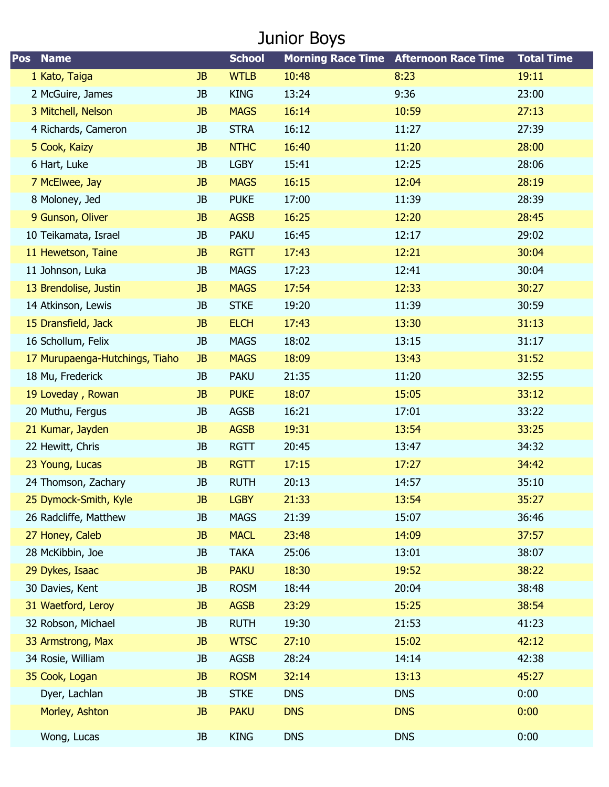# Junior Boys

| Pos | <b>Name</b>                    |           | <b>School</b> |            | <b>Morning Race Time Afternoon Race Time</b> | <b>Total Time</b> |
|-----|--------------------------------|-----------|---------------|------------|----------------------------------------------|-------------------|
|     | 1 Kato, Taiga                  | <b>JB</b> | <b>WTLB</b>   | 10:48      | 8:23                                         | 19:11             |
|     | 2 McGuire, James               | JB        | <b>KING</b>   | 13:24      | 9:36                                         | 23:00             |
|     | 3 Mitchell, Nelson             | <b>JB</b> | <b>MAGS</b>   | 16:14      | 10:59                                        | 27:13             |
|     | 4 Richards, Cameron            | JB        | <b>STRA</b>   | 16:12      | 11:27                                        | 27:39             |
|     | 5 Cook, Kaizy                  | <b>JB</b> | <b>NTHC</b>   | 16:40      | 11:20                                        | 28:00             |
|     | 6 Hart, Luke                   | JB        | <b>LGBY</b>   | 15:41      | 12:25                                        | 28:06             |
|     | 7 McElwee, Jay                 | <b>JB</b> | <b>MAGS</b>   | 16:15      | 12:04                                        | 28:19             |
|     | 8 Moloney, Jed                 | JB        | <b>PUKE</b>   | 17:00      | 11:39                                        | 28:39             |
|     | 9 Gunson, Oliver               | <b>JB</b> | <b>AGSB</b>   | 16:25      | 12:20                                        | 28:45             |
|     | 10 Teikamata, Israel           | JB        | <b>PAKU</b>   | 16:45      | 12:17                                        | 29:02             |
|     | 11 Hewetson, Taine             | <b>JB</b> | <b>RGTT</b>   | 17:43      | 12:21                                        | 30:04             |
|     | 11 Johnson, Luka               | JB        | <b>MAGS</b>   | 17:23      | 12:41                                        | 30:04             |
|     | 13 Brendolise, Justin          | <b>JB</b> | <b>MAGS</b>   | 17:54      | 12:33                                        | 30:27             |
|     | 14 Atkinson, Lewis             | JB        | <b>STKE</b>   | 19:20      | 11:39                                        | 30:59             |
|     | 15 Dransfield, Jack            | JB        | <b>ELCH</b>   | 17:43      | 13:30                                        | 31:13             |
|     | 16 Schollum, Felix             | JB        | <b>MAGS</b>   | 18:02      | 13:15                                        | 31:17             |
|     | 17 Murupaenga-Hutchings, Tiaho | <b>JB</b> | <b>MAGS</b>   | 18:09      | 13:43                                        | 31:52             |
|     | 18 Mu, Frederick               | JB        | <b>PAKU</b>   | 21:35      | 11:20                                        | 32:55             |
|     | 19 Loveday, Rowan              | <b>JB</b> | <b>PUKE</b>   | 18:07      | 15:05                                        | 33:12             |
|     | 20 Muthu, Fergus               | JB        | <b>AGSB</b>   | 16:21      | 17:01                                        | 33:22             |
|     | 21 Kumar, Jayden               | <b>JB</b> | <b>AGSB</b>   | 19:31      | 13:54                                        | 33:25             |
|     | 22 Hewitt, Chris               | JB        | <b>RGTT</b>   | 20:45      | 13:47                                        | 34:32             |
|     | 23 Young, Lucas                | <b>JB</b> | <b>RGTT</b>   | 17:15      | 17:27                                        | 34:42             |
|     | 24 Thomson, Zachary            | JB        | <b>RUTH</b>   | 20:13      | 14:57                                        | 35:10             |
|     | 25 Dymock-Smith, Kyle          | JB        | <b>LGBY</b>   | 21:33      | 13:54                                        | 35:27             |
|     | 26 Radcliffe, Matthew          | JB        | <b>MAGS</b>   | 21:39      | 15:07                                        | 36:46             |
|     | 27 Honey, Caleb                | JB        | <b>MACL</b>   | 23:48      | 14:09                                        | 37:57             |
|     | 28 McKibbin, Joe               | JB        | <b>TAKA</b>   | 25:06      | 13:01                                        | 38:07             |
|     | 29 Dykes, Isaac                | <b>JB</b> | <b>PAKU</b>   | 18:30      | 19:52                                        | 38:22             |
|     | 30 Davies, Kent                | JB        | <b>ROSM</b>   | 18:44      | 20:04                                        | 38:48             |
|     | 31 Waetford, Leroy             | <b>JB</b> | <b>AGSB</b>   | 23:29      | 15:25                                        | 38:54             |
|     | 32 Robson, Michael             | JB        | <b>RUTH</b>   | 19:30      | 21:53                                        | 41:23             |
|     | 33 Armstrong, Max              | <b>JB</b> | <b>WTSC</b>   | 27:10      | 15:02                                        | 42:12             |
|     | 34 Rosie, William              | JB        | AGSB          | 28:24      | 14:14                                        | 42:38             |
|     | 35 Cook, Logan                 | <b>JB</b> | <b>ROSM</b>   | 32:14      | 13:13                                        | 45:27             |
|     | Dyer, Lachlan                  | JB        | <b>STKE</b>   | <b>DNS</b> | <b>DNS</b>                                   | 0:00              |
|     | Morley, Ashton                 | JB        | <b>PAKU</b>   | <b>DNS</b> | <b>DNS</b>                                   | 0:00              |
|     | Wong, Lucas                    | JB        | <b>KING</b>   | <b>DNS</b> | <b>DNS</b>                                   | 0:00              |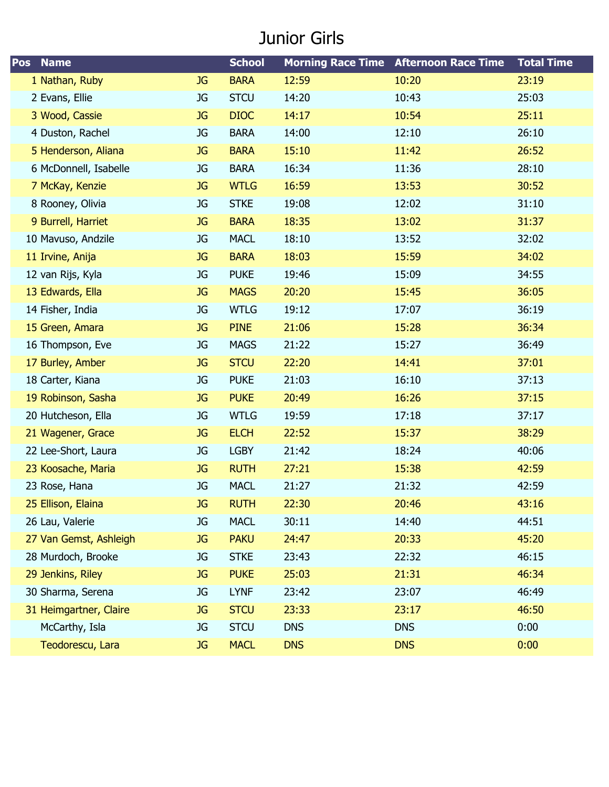#### Junior Girls

| Pos<br><b>Name</b>     |           | <b>School</b> |            | <b>Morning Race Time Afternoon Race Time</b> | <b>Total Time</b> |
|------------------------|-----------|---------------|------------|----------------------------------------------|-------------------|
| 1 Nathan, Ruby         | <b>JG</b> | <b>BARA</b>   | 12:59      | 10:20                                        | 23:19             |
| 2 Evans, Ellie         | JG        | <b>STCU</b>   | 14:20      | 10:43                                        | 25:03             |
| 3 Wood, Cassie         | <b>JG</b> | <b>DIOC</b>   | 14:17      | 10:54                                        | 25:11             |
| 4 Duston, Rachel       | JG        | <b>BARA</b>   | 14:00      | 12:10                                        | 26:10             |
| 5 Henderson, Aliana    | <b>JG</b> | <b>BARA</b>   | 15:10      | 11:42                                        | 26:52             |
| 6 McDonnell, Isabelle  | <b>JG</b> | <b>BARA</b>   | 16:34      | 11:36                                        | 28:10             |
| 7 McKay, Kenzie        | <b>JG</b> | <b>WTLG</b>   | 16:59      | 13:53                                        | 30:52             |
| 8 Rooney, Olivia       | <b>JG</b> | <b>STKE</b>   | 19:08      | 12:02                                        | 31:10             |
| 9 Burrell, Harriet     | <b>JG</b> | <b>BARA</b>   | 18:35      | 13:02                                        | 31:37             |
| 10 Mavuso, Andzile     | JG        | <b>MACL</b>   | 18:10      | 13:52                                        | 32:02             |
| 11 Irvine, Anija       | <b>JG</b> | <b>BARA</b>   | 18:03      | 15:59                                        | 34:02             |
| 12 van Rijs, Kyla      | JG        | <b>PUKE</b>   | 19:46      | 15:09                                        | 34:55             |
| 13 Edwards, Ella       | <b>JG</b> | <b>MAGS</b>   | 20:20      | 15:45                                        | 36:05             |
| 14 Fisher, India       | <b>JG</b> | <b>WTLG</b>   | 19:12      | 17:07                                        | 36:19             |
| 15 Green, Amara        | <b>JG</b> | <b>PINE</b>   | 21:06      | 15:28                                        | 36:34             |
| 16 Thompson, Eve       | <b>JG</b> | <b>MAGS</b>   | 21:22      | 15:27                                        | 36:49             |
| 17 Burley, Amber       | <b>JG</b> | <b>STCU</b>   | 22:20      | 14:41                                        | 37:01             |
| 18 Carter, Kiana       | <b>JG</b> | <b>PUKE</b>   | 21:03      | 16:10                                        | 37:13             |
| 19 Robinson, Sasha     | <b>JG</b> | <b>PUKE</b>   | 20:49      | 16:26                                        | 37:15             |
| 20 Hutcheson, Ella     | JG        | <b>WTLG</b>   | 19:59      | 17:18                                        | 37:17             |
| 21 Wagener, Grace      | <b>JG</b> | <b>ELCH</b>   | 22:52      | 15:37                                        | 38:29             |
| 22 Lee-Short, Laura    | <b>JG</b> | <b>LGBY</b>   | 21:42      | 18:24                                        | 40:06             |
| 23 Koosache, Maria     | <b>JG</b> | <b>RUTH</b>   | 27:21      | 15:38                                        | 42:59             |
| 23 Rose, Hana          | JG        | <b>MACL</b>   | 21:27      | 21:32                                        | 42:59             |
| 25 Ellison, Elaina     | JG        | <b>RUTH</b>   | 22:30      | 20:46                                        | 43:16             |
| 26 Lau, Valerie        | JG        | <b>MACL</b>   | 30:11      | 14:40                                        | 44:51             |
| 27 Van Gemst, Ashleigh | <b>JG</b> | <b>PAKU</b>   | 24:47      | 20:33                                        | 45:20             |
| 28 Murdoch, Brooke     | JG        | <b>STKE</b>   | 23:43      | 22:32                                        | 46:15             |
| 29 Jenkins, Riley      | <b>JG</b> | <b>PUKE</b>   | 25:03      | 21:31                                        | 46:34             |
| 30 Sharma, Serena      | JG        | <b>LYNF</b>   | 23:42      | 23:07                                        | 46:49             |
| 31 Heimgartner, Claire | <b>JG</b> | <b>STCU</b>   | 23:33      | 23:17                                        | 46:50             |
| McCarthy, Isla         | <b>JG</b> | <b>STCU</b>   | <b>DNS</b> | <b>DNS</b>                                   | 0:00              |
| Teodorescu, Lara       | <b>JG</b> | <b>MACL</b>   | <b>DNS</b> | <b>DNS</b>                                   | 0:00              |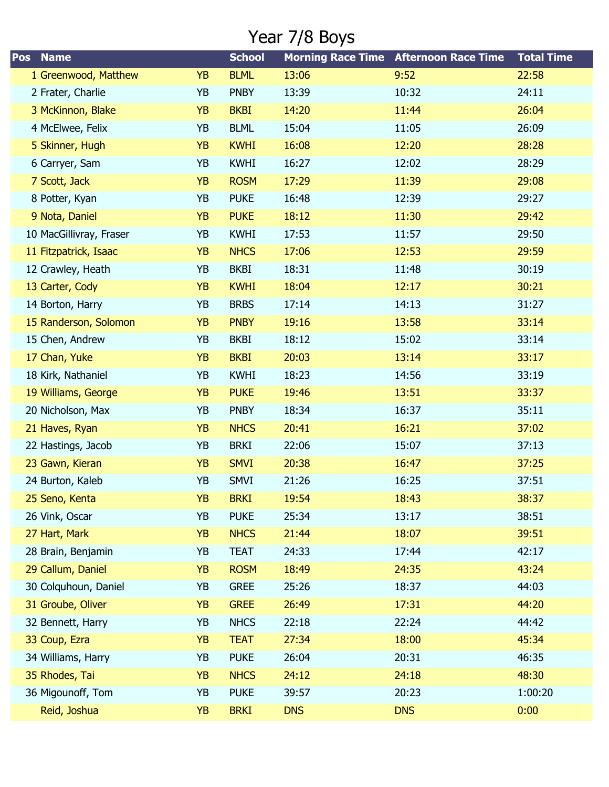### Year 7/8 Boys

| <b>Name</b><br>Pos      |           | <b>School</b> |            | <b>Morning Race Time Afternoon Race Time</b> | <b>Total Time</b> |
|-------------------------|-----------|---------------|------------|----------------------------------------------|-------------------|
| 1 Greenwood, Matthew    | <b>YB</b> | <b>BLML</b>   | 13:06      | 9:52                                         | 22:58             |
| 2 Frater, Charlie       | YB        | <b>PNBY</b>   | 13:39      | 10:32                                        | 24:11             |
| 3 McKinnon, Blake       | <b>YB</b> | <b>BKBI</b>   | 14:20      | 11:44                                        | 26:04             |
| 4 McElwee, Felix        | YB        | <b>BLML</b>   | 15:04      | 11:05                                        | 26:09             |
| 5 Skinner, Hugh         | <b>YB</b> | <b>KWHI</b>   | 16:08      | 12:20                                        | 28:28             |
| 6 Carryer, Sam          | YB        | <b>KWHI</b>   | 16:27      | 12:02                                        | 28:29             |
| 7 Scott, Jack           | <b>YB</b> | <b>ROSM</b>   | 17:29      | 11:39                                        | 29:08             |
| 8 Potter, Kyan          | YB        | <b>PUKE</b>   | 16:48      | 12:39                                        | 29:27             |
| 9 Nota, Daniel          | <b>YB</b> | <b>PUKE</b>   | 18:12      | 11:30                                        | 29:42             |
| 10 MacGillivray, Fraser | YB        | <b>KWHI</b>   | 17:53      | 11:57                                        | 29:50             |
| 11 Fitzpatrick, Isaac   | <b>YB</b> | <b>NHCS</b>   | 17:06      | 12:53                                        | 29:59             |
| 12 Crawley, Heath       | YB        | <b>BKBI</b>   | 18:31      | 11:48                                        | 30:19             |
| 13 Carter, Cody         | <b>YB</b> | <b>KWHI</b>   | 18:04      | 12:17                                        | 30:21             |
| 14 Borton, Harry        | YB        | <b>BRBS</b>   | 17:14      | 14:13                                        | 31:27             |
| 15 Randerson, Solomon   | <b>YB</b> | <b>PNBY</b>   | 19:16      | 13:58                                        | 33:14             |
| 15 Chen, Andrew         | YB        | <b>BKBI</b>   | 18:12      | 15:02                                        | 33:14             |
| 17 Chan, Yuke           | <b>YB</b> | <b>BKBI</b>   | 20:03      | 13:14                                        | 33:17             |
| 18 Kirk, Nathaniel      | YB        | <b>KWHI</b>   | 18:23      | 14:56                                        | 33:19             |
| 19 Williams, George     | <b>YB</b> | <b>PUKE</b>   | 19:46      | 13:51                                        | 33:37             |
| 20 Nicholson, Max       | YB        | <b>PNBY</b>   | 18:34      | 16:37                                        | 35:11             |
| 21 Haves, Ryan          | <b>YB</b> | <b>NHCS</b>   | 20:41      | 16:21                                        | 37:02             |
| 22 Hastings, Jacob      | YB        | <b>BRKI</b>   | 22:06      | 15:07                                        | 37:13             |
| 23 Gawn, Kieran         | <b>YB</b> | <b>SMVI</b>   | 20:38      | 16:47                                        | 37:25             |
| 24 Burton, Kaleb        | YB        | <b>SMVI</b>   | 21:26      | 16:25                                        | 37:51             |
| 25 Seno, Kenta          | YΒ        | <b>BRKI</b>   | 19:54      | 18:43                                        | 38:37             |
| 26 Vink, Oscar          | YB        | <b>PUKE</b>   | 25:34      | 13:17                                        | 38:51             |
| 27 Hart, Mark           | <b>YB</b> | <b>NHCS</b>   | 21:44      | 18:07                                        | 39:51             |
| 28 Brain, Benjamin      | YB        | <b>TEAT</b>   | 24:33      | 17:44                                        | 42:17             |
| 29 Callum, Daniel       | <b>YB</b> | <b>ROSM</b>   | 18:49      | 24:35                                        | 43:24             |
| 30 Colquhoun, Daniel    | YB        | <b>GREE</b>   | 25:26      | 18:37                                        | 44:03             |
| 31 Groube, Oliver       | <b>YB</b> | <b>GREE</b>   | 26:49      | 17:31                                        | 44:20             |
| 32 Bennett, Harry       | YB        | <b>NHCS</b>   | 22:18      | 22:24                                        | 44:42             |
| 33 Coup, Ezra           | <b>YB</b> | <b>TEAT</b>   | 27:34      | 18:00                                        | 45:34             |
| 34 Williams, Harry      | YB        | <b>PUKE</b>   | 26:04      | 20:31                                        | 46:35             |
| 35 Rhodes, Tai          | <b>YB</b> | <b>NHCS</b>   | 24:12      | 24:18                                        | 48:30             |
| 36 Migounoff, Tom       | YB        | <b>PUKE</b>   | 39:57      | 20:23                                        | 1:00:20           |
| Reid, Joshua            | <b>YB</b> | <b>BRKI</b>   | <b>DNS</b> | <b>DNS</b>                                   | 0:00              |